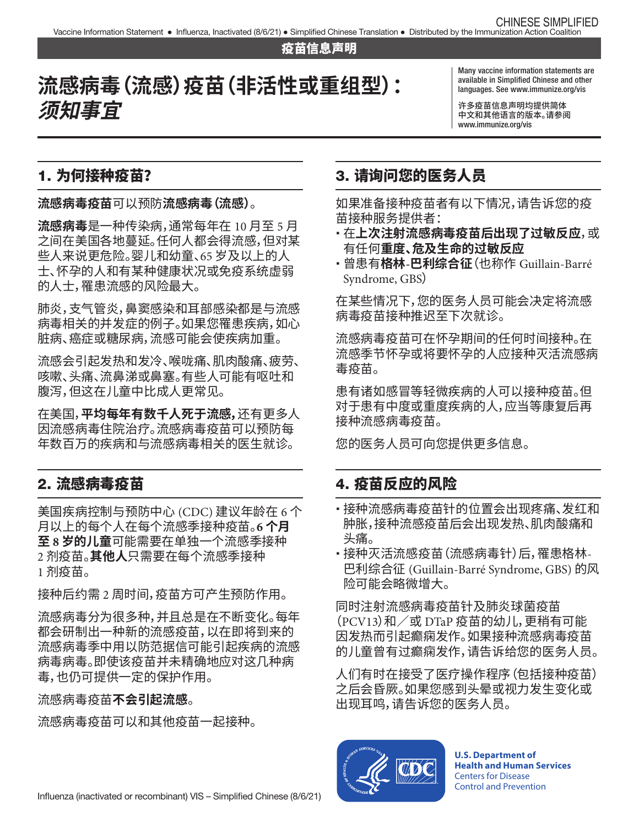#### 疫苗信息声明

# 流感病毒(流感)疫苗(非活性或重组型): **须知事宜**

Many vaccine information statements are languages. See [www.immunize.org/vis](http://www.immunize.org/vis)

许多疫苗信息声明均提供简体 中文和其他语言的版本。请参阅 [www.immunize.org/vis](http://www.immunize.org/vis) 

### 1. 为何接种疫苗?

**流感病毒疫苗**可以预防**流感病毒(流感)**。

**流感病毒**是一种传染病,通常每年在 10 月至 5 月 之间在美国各地蔓延。任何人都会得流感,但对某 些人来说更危险。婴儿和幼童、65 岁及以上的人 士、怀孕的人和有某种健康状况或免疫系统虚弱 的人士,罹患流感的风险最大。

肺炎,支气管炎,鼻窦感染和耳部感染都是与流感 病毒相关的并发症的例子。如果您罹患疾病,如心 脏病、癌症或糖尿病,流感可能会使疾病加重。

流感会引起发热和发冷、喉咙痛、肌肉酸痛、疲劳、 咳嗽、头痛、流鼻涕或鼻塞。有些人可能有呕吐和 腹泻,但这在儿童中比成人更常见。

在美国,**平均每年有数千人死于流感,**还有更多人 因流感病毒住院治疗。流感病毒疫苗可以预防每 年数百万的疾病和与流感病毒相关的医生就诊。

#### 2. 流感病毒疫苗

 2 剂疫苗。**其他人**只需要在每个流感季接种 美国疾病控制与预防中心 (CDC) 建议年龄在 6 个 月以上的每个人在每个流感季接种疫苗。**6 个月 至 8 岁的儿童**可能需要在单独一个流感季接种 1 剂疫苗。

接种后约需 2 周时间,疫苗方可产生预防作用。

流感病毒分为很多种,并且总是在不断变化。每年 都会研制出一种新的流感疫苗,以在即将到来的 流感病毒季中用以防范据信可能引起疾病的流感 病毒病毒。即使该疫苗并未精确地应对这几种病 毒,也仍可提供一定的保护作用。

流感病毒疫苗**不会引起流感**。

流感病毒疫苗可以和其他疫苗一起接种。

## 3. 请询问您的医务人员

如果准备接种疫苗者有以下情况,请告诉您的疫 苗接种服务提供者:

- � 在**上次注射流感病毒疫苗后出现了过敏反应**,或 有任何**重度、危及生命的过敏反应**
- � 曾患有**格林-巴利综合征**(也称作 Guillain-Barré Syndrome, GBS)

在某些情况下,您的医务人员可能会决定将流感 病毒疫苗接种推迟至下次就诊。

流感病毒疫苗可在怀孕期间的任何时间接种。在 流感季节怀孕或将要怀孕的人应接种灭活流感病 毒疫苗。

患有诸如感冒等轻微疾病的人可以接种疫苗。但 对于患有中度或重度疾病的人,应当等康复后再 接种流感病毒疫苗。

您的医务人员可向您提供更多信息。

#### 4. 疫苗反应的风险

- � 接种流感病毒疫苗针的位置会出现疼痛、发红和 肿胀,接种流感疫苗后会出现发热、肌肉酸痛和 头痛。
- � 接种灭活流感疫苗(流感病毒针)后,罹患格林-巴利综合征 (Guillain-Barré Syndrome, GBS) 的风 险可能会略微增大。

同时注射流感病毒疫苗针及肺炎球菌疫苗  $(PCV13)$  和  $\angle$  或 DTaP 疫苗的幼儿, 更稍有可能 因发热而引起癫痫发作。如果接种流感病毒疫苗 的儿童曾有过癫痫发作,请告诉给您的医务人员。

人们有时在接受了医疗操作程序(包括接种疫苗) 之后会昏厥。如果您感到头晕或视力发生变化或 出现耳鸣,请告诉您的医务人员。



**U.S. Department of Health and Human Services**  Centers for Disease Control and Prevention